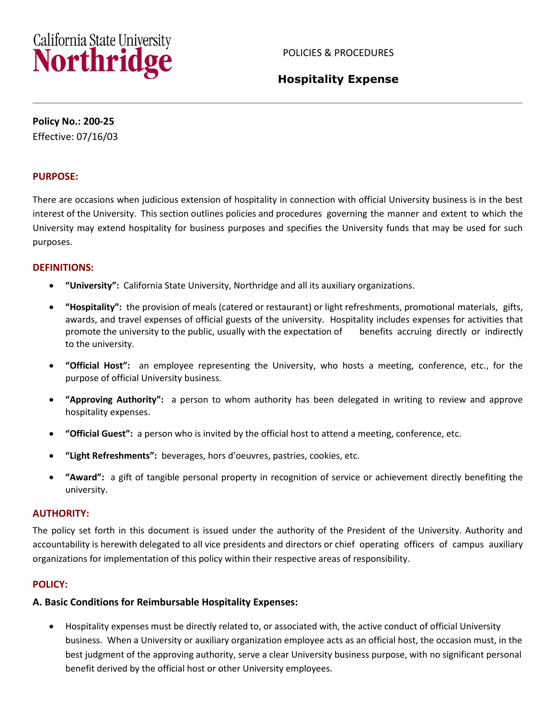# California State University<br>Northridge

# **Hospitality Expense**

**Policy No.: 200-25**

Effective: 07/16/03

# **PURPOSE:**

There are occasions when judicious extension of hospitality in connection with official University business is in the best interest of the University. This section outlines policies and procedures governing the manner and extent to which the University may extend hospitality for business purposes and specifies the University funds that may be used for such purposes.

#### **DEFINITIONS:**

- **"University":** California State University, Northridge and all its auxiliary organizations.
- **"Hospitality":** the provision of meals (catered or restaurant) or light refreshments, promotional materials, gifts, awards, and travel expenses of official guests of the university. Hospitality includes expenses for activities that promote the university to the public, usually with the expectation of benefits accruing directly or indirectly to the university.
- **"Official Host":** an employee representing the University, who hosts a meeting, conference, etc., for the purpose of official University business.
- **"Approving Authority":** a person to whom authority has been delegated in writing to review and approve hospitality expenses.
- **"Official Guest":** a person who is invited by the official host to attend a meeting, conference, etc.
- **"Light Refreshments":** beverages, hors d'oeuvres, pastries, cookies, etc.
- **"Award":** a gift of tangible personal property in recognition of service or achievement directly benefiting the university.

#### **AUTHORITY:**

The policy set forth in this document is issued under the authority of the President of the University. Authority and accountability is herewith delegated to all vice presidents and directors or chief operating officers of campus auxiliary organizations for implementation of this policy within their respective areas of responsibility.

# **POLICY:**

# **A. Basic Conditions for Reimbursable Hospitality Expenses:**

 Hospitality expenses must be directly related to, or associated with, the active conduct of official University business. When a University or auxiliary organization employee acts as an official host, the occasion must, in the best judgment of the approving authority, serve a clear University business purpose, with no significant personal benefit derived by the official host or other University employees.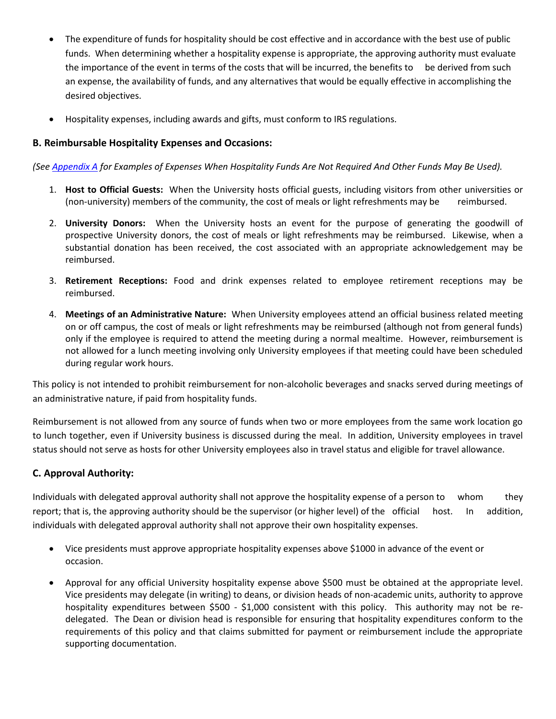- The expenditure of funds for hospitality should be cost effective and in accordance with the best use of public funds. When determining whether a hospitality expense is appropriate, the approving authority must evaluate the importance of the event in terms of the costs that will be incurred, the benefits to be derived from such an expense, the availability of funds, and any alternatives that would be equally effective in accomplishing the desired objectives.
- Hospitality expenses, including awards and gifts, must conform to IRS regulations.

# **B. Reimbursable Hospitality Expenses and Occasions:**

*(See [Appendix A](#page-4-0) for Examples of Expenses When Hospitality Funds Are Not Required And Other Funds May Be Used).*

- 1. **Host to Official Guests:** When the University hosts official guests, including visitors from other universities or (non-university) members of the community, the cost of meals or light refreshments may be reimbursed.
- 2. **University Donors:** When the University hosts an event for the purpose of generating the goodwill of prospective University donors, the cost of meals or light refreshments may be reimbursed. Likewise, when a substantial donation has been received, the cost associated with an appropriate acknowledgement may be reimbursed.
- 3. **Retirement Receptions:** Food and drink expenses related to employee retirement receptions may be reimbursed.
- 4. **Meetings of an Administrative Nature:** When University employees attend an official business related meeting on or off campus, the cost of meals or light refreshments may be reimbursed (although not from general funds) only if the employee is required to attend the meeting during a normal mealtime. However, reimbursement is not allowed for a lunch meeting involving only University employees if that meeting could have been scheduled during regular work hours.

This policy is not intended to prohibit reimbursement for non-alcoholic beverages and snacks served during meetings of an administrative nature, if paid from hospitality funds.

Reimbursement is not allowed from any source of funds when two or more employees from the same work location go to lunch together, even if University business is discussed during the meal. In addition, University employees in travel status should not serve as hosts for other University employees also in travel status and eligible for travel allowance.

# **C. Approval Authority:**

Individuals with delegated approval authority shall not approve the hospitality expense of a person to whom they report; that is, the approving authority should be the supervisor (or higher level) of the official host. In addition, individuals with delegated approval authority shall not approve their own hospitality expenses.

- Vice presidents must approve appropriate hospitality expenses above \$1000 in advance of the event or occasion.
- Approval for any official University hospitality expense above \$500 must be obtained at the appropriate level. Vice presidents may delegate (in writing) to deans, or division heads of non-academic units, authority to approve hospitality expenditures between \$500 - \$1,000 consistent with this policy. This authority may not be redelegated. The Dean or division head is responsible for ensuring that hospitality expenditures conform to the requirements of this policy and that claims submitted for payment or reimbursement include the appropriate supporting documentation.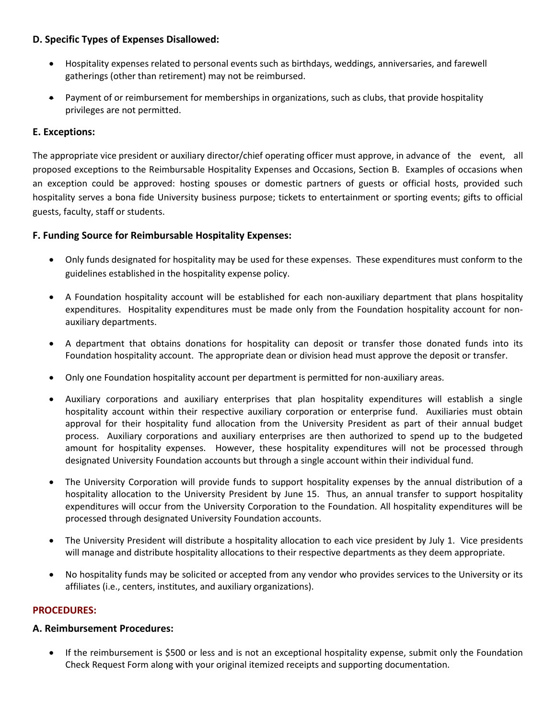# **D. Specific Types of Expenses Disallowed:**

- Hospitality expenses related to personal events such as birthdays, weddings, anniversaries, and farewell gatherings (other than retirement) may not be reimbursed.
- Payment of or reimbursement for memberships in organizations, such as clubs, that provide hospitality privileges are not permitted.

# **E. Exceptions:**

The appropriate vice president or auxiliary director/chief operating officer must approve, in advance of the event, all proposed exceptions to the Reimbursable Hospitality Expenses and Occasions, Section B. Examples of occasions when an exception could be approved: hosting spouses or domestic partners of guests or official hosts, provided such hospitality serves a bona fide University business purpose; tickets to entertainment or sporting events; gifts to official guests, faculty, staff or students.

# **F. Funding Source for Reimbursable Hospitality Expenses:**

- Only funds designated for hospitality may be used for these expenses. These expenditures must conform to the guidelines established in the hospitality expense policy.
- A Foundation hospitality account will be established for each non-auxiliary department that plans hospitality expenditures. Hospitality expenditures must be made only from the Foundation hospitality account for nonauxiliary departments.
- A department that obtains donations for hospitality can deposit or transfer those donated funds into its Foundation hospitality account. The appropriate dean or division head must approve the deposit or transfer.
- Only one Foundation hospitality account per department is permitted for non-auxiliary areas.
- Auxiliary corporations and auxiliary enterprises that plan hospitality expenditures will establish a single hospitality account within their respective auxiliary corporation or enterprise fund. Auxiliaries must obtain approval for their hospitality fund allocation from the University President as part of their annual budget process. Auxiliary corporations and auxiliary enterprises are then authorized to spend up to the budgeted amount for hospitality expenses. However, these hospitality expenditures will not be processed through designated University Foundation accounts but through a single account within their individual fund.
- The University Corporation will provide funds to support hospitality expenses by the annual distribution of a hospitality allocation to the University President by June 15. Thus, an annual transfer to support hospitality expenditures will occur from the University Corporation to the Foundation. All hospitality expenditures will be processed through designated University Foundation accounts.
- The University President will distribute a hospitality allocation to each vice president by July 1. Vice presidents will manage and distribute hospitality allocations to their respective departments as they deem appropriate.
- No hospitality funds may be solicited or accepted from any vendor who provides services to the University or its affiliates (i.e., centers, institutes, and auxiliary organizations).

# **PROCEDURES:**

# **A. Reimbursement Procedures:**

 If the reimbursement is \$500 or less and is not an exceptional hospitality expense, submit only the Foundation Check Request Form along with your original itemized receipts and supporting documentation.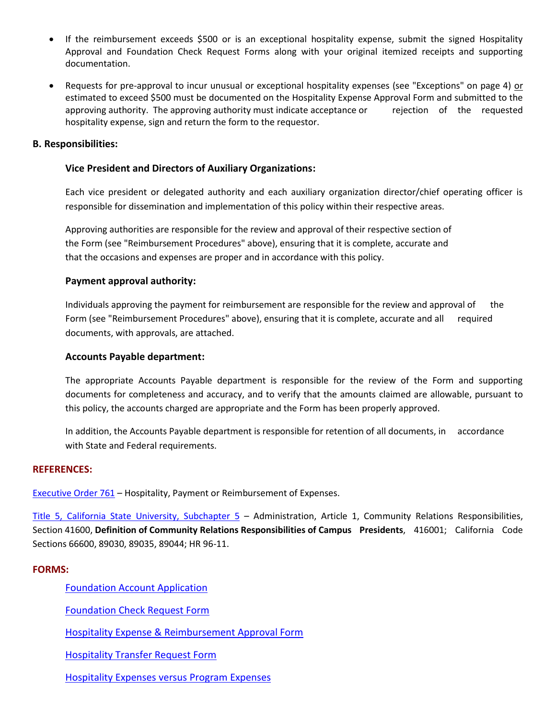- If the reimbursement exceeds \$500 or is an exceptional hospitality expense, submit the signed Hospitality Approval and Foundation Check Request Forms along with your original itemized receipts and supporting documentation.
- Requests for pre-approval to incur unusual or exceptional hospitality expenses (see "Exceptions" on page 4) or estimated to exceed \$500 must be documented on the Hospitality Expense Approval Form and submitted to the approving authority. The approving authority must indicate acceptance or rejection of the requested hospitality expense, sign and return the form to the requestor.

#### **B. Responsibilities:**

#### **Vice President and Directors of Auxiliary Organizations:**

Each vice president or delegated authority and each auxiliary organization director/chief operating officer is responsible for dissemination and implementation of this policy within their respective areas.

Approving authorities are responsible for the review and approval of their respective section of the Form (see "Reimbursement Procedures" above), ensuring that it is complete, accurate and that the occasions and expenses are proper and in accordance with this policy.

#### **Payment approval authority:**

Individuals approving the payment for reimbursement are responsible for the review and approval of the Form (see "Reimbursement Procedures" above), ensuring that it is complete, accurate and all required documents, with approvals, are attached.

#### **Accounts Payable department:**

The appropriate Accounts Payable department is responsible for the review of the Form and supporting documents for completeness and accuracy, and to verify that the amounts claimed are allowable, pursuant to this policy, the accounts charged are appropriate and the Form has been properly approved.

In addition, the Accounts Payable department is responsible for retention of all documents, in accordance with State and Federal requirements.

#### **REFERENCES:**

[Executive Order 761](http://www.calstate.edu/eo/EO-761.pdf) – Hospitality, Payment or Reimbursement of Expenses.

[Title 5, California State University, Subchapter 5](http://www.calstate.edu/FT/PgmPol/T5dir.shtml) - Administration, Article 1, Community Relations Responsibilities, Section 41600, **Definition of Community Relations Responsibilities of Campus Presidents**, 416001; California Code Sections 66600, 89030, 89035, 89044; HR 96-11.

#### **FORMS:**

[Foundation Account Application](http://www.csun.edu/ua/foundation/documents/Account_Application.doc)

[Foundation Check Request Form](http://www-admn.csun.edu/vp/policies/125_admn_fin/200/foundation-check-request-form.pdf)

[Hospitality Expense & Reimbursement Approval Form](http://www-admn.csun.edu/vp/policies/125_admn_fin/200/hospitality-expense-approval-form.pdf)

[Hospitality Transfer Request Form](http://www-admn.csun.edu/vp/policies/125_admn_fin/200/hosp-transfer-request-form.pdf)

[Hospitality Expenses versus](http://www-admn.csun.edu/vp/policies/125_admn_fin/200/hospitality-program-matrix.pdf) Program Expenses